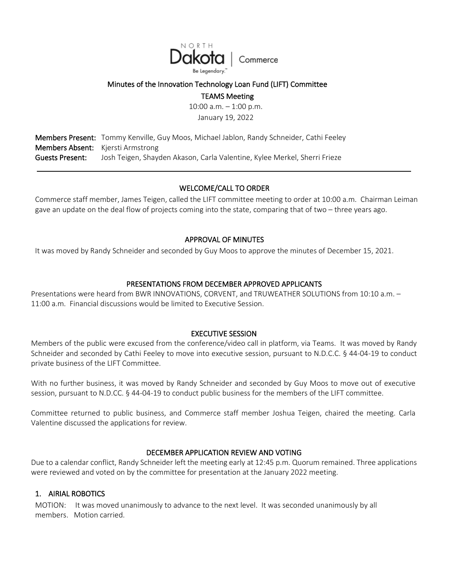

### Minutes of the Innovation Technology Loan Fund (LIFT) Committee

TEAMS Meeting

10:00 a.m. – 1:00 p.m.

January 19, 2022

Members Present: Tommy Kenville, Guy Moos, Michael Jablon, Randy Schneider, Cathi Feeley Members Absent: Kjersti Armstrong Guests Present: Josh Teigen, Shayden Akason, Carla Valentine, Kylee Merkel, Sherri Frieze

# WELCOME/CALL TO ORDER

Commerce staff member, James Teigen, called the LIFT committee meeting to order at 10:00 a.m. Chairman Leiman gave an update on the deal flow of projects coming into the state, comparing that of two – three years ago.

# APPROVAL OF MINUTES

It was moved by Randy Schneider and seconded by Guy Moos to approve the minutes of December 15, 2021.

# PRESENTATIONS FROM DECEMBER APPROVED APPLICANTS

Presentations were heard from BWR INNOVATIONS, CORVENT, and TRUWEATHER SOLUTIONS from 10:10 a.m. – 11:00 a.m. Financial discussions would be limited to Executive Session.

#### EXECUTIVE SESSION

Members of the public were excused from the conference/video call in platform, via Teams. It was moved by Randy Schneider and seconded by Cathi Feeley to move into executive session, pursuant to N.D.C.C. § 44-04-19 to conduct private business of the LIFT Committee.

With no further business, it was moved by Randy Schneider and seconded by Guy Moos to move out of executive session, pursuant to N.D.CC. § 44-04-19 to conduct public business for the members of the LIFT committee.

Committee returned to public business, and Commerce staff member Joshua Teigen, chaired the meeting. Carla Valentine discussed the applications for review.

#### DECEMBER APPLICATION REVIEW AND VOTING

Due to a calendar conflict, Randy Schneider left the meeting early at 12:45 p.m. Quorum remained. Three applications were reviewed and voted on by the committee for presentation at the January 2022 meeting.

# 1. AIRIAL ROBOTICS

MOTION: It was moved unanimously to advance to the next level. It was seconded unanimously by all members. Motion carried.